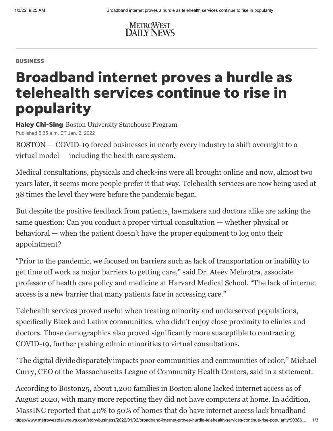

## BUSINESS

## Broadband internet proves a hurdle as telehealth services continue to rise in popularity

**Haley Chi-Sing** Boston University Statehouse Program Published 5:35 a.m. ET Jan. 2, 2022

BOSTON — COVID-19 forced businesses in nearly every industry to shift overnight to a virtual model — including the health care system.

Medical consultations, physicals and check-ins were all brought online and now, almost two years later, it seems more people prefer it that way. Telehealth services are now being used at 38 times the level they were before the pandemic began.

But despite the positive feedback from patients, lawmakers and doctors alike are asking the same question: Can you conduct a proper virtual consultation — whether physical or behavioral — when the patient doesn't have the proper equipment to log onto their appointment?

"Prior to the pandemic, we focused on barriers such as lack of transportation or inability to get time off work as major barriers to getting care," said Dr. Ateev Mehrotra, associate professor of health care policy and medicine at Harvard Medical School. "The lack of internet access is a new barrier that many patients face in accessing care."

Telehealth services proved useful when treating minority and underserved populations, specifically Black and Latinx communities, who didn't enjoy close proximity to clinics and doctors. Those demographics also proved significantly more susceptible to contracting COVID-19, further pushing ethnic minorities to virtual consultations.

"The digital dividedisparately impacts poor communities and communities of color," Michael Curry, CEO of the Massachusetts League of Community Health Centers, said in a statement.

According to Boston25, about 1,200 families in Boston alone lacked internet access as of August 2020, with many more reporting they did not have computers at home. In addition, MassINC reported that 40% to 50% of homes that do have internet access lack broadband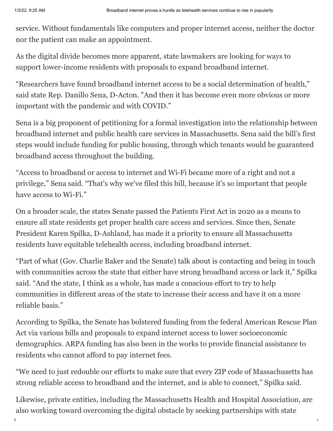service. Without fundamentals like computers and proper internet access, neither the doctor nor the patient can make an appointment.

As the digital divide becomes more apparent, state lawmakers are looking for ways to support lower-income residents with proposals to expand broadband internet.

"Researchers have found broadband internet access to be a social determination of health," said state Rep. Danillo Sena, D-Acton. "And then it has become even more obvious or more important with the pandemic and with COVID."

Sena is a big proponent of petitioning for a formal investigation into the relationship between broadband internet and public health care services in Massachusetts. Sena said the bill's first steps would include funding for public housing, through which tenants would be guaranteed broadband access throughout the building.

"Access to broadband or access to internet and Wi-Fi became more of a right and not a privilege," Sena said. "That's why we've filed this bill, because it's so important that people have access to Wi-Fi."

On a broader scale, the states Senate passed the Patients First Act in 2020 as a means to ensure all state residents get proper health care access and services. Since then, Senate President Karen Spilka, D-Ashland, has made it a priority to ensure all Massachusetts residents have equitable telehealth access, including broadband internet.

"Part of what (Gov. Charlie Baker and the Senate) talk about is contacting and being in touch with communities across the state that either have strong broadband access or lack it," Spilka said. "And the state, I think as a whole, has made a conscious effort to try to help communities in different areas of the state to increase their access and have it on a more reliable basis."

According to Spilka, the Senate has bolstered funding from the federal American Rescue Plan Act via various bills and proposals to expand internet access to lower socioeconomic demographics. ARPA funding has also been in the works to provide financial assistance to residents who cannot afford to pay internet fees.

"We need to just redouble our efforts to make sure that every ZIP code of Massachusetts has strong reliable access to broadband and the internet, and is able to connect," Spilka said.

Likewise, private entities, including the Massachusetts Health and Hospital Association, are also working toward overcoming the digital obstacle by seeking partnerships with state

https://www.metrowestdailynews.com/story/business/2022/01/02/broadband-internet-proves-hurdle-telehealth-services-continue-rise-popularity/90386… 2/3